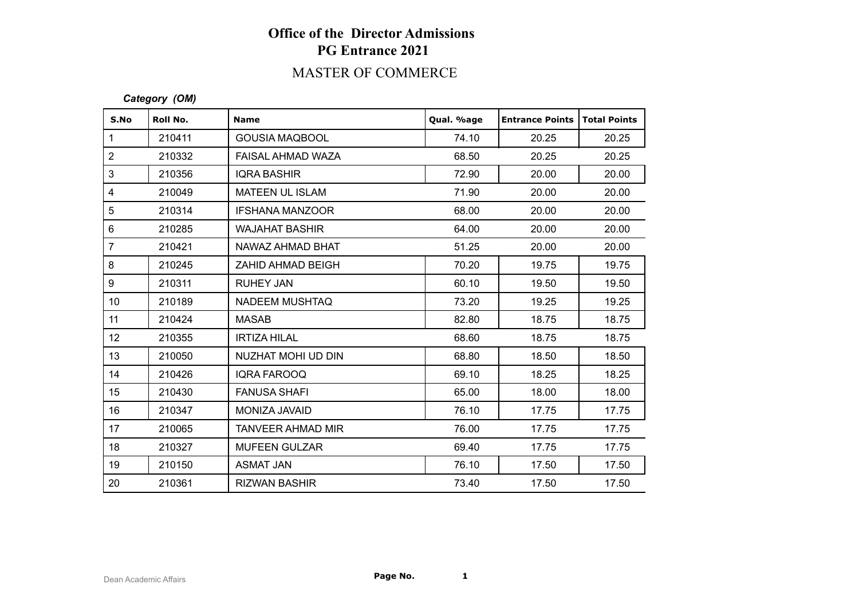## **Office of the Director Admissions PG Entrance 2021**

### MASTER OF COMMERCE

#### *Category (OM)*

| S.No            | Roll No. | <b>Name</b>              | Qual. %age | <b>Entrance Points</b> | <b>Total Points</b> |
|-----------------|----------|--------------------------|------------|------------------------|---------------------|
| $\mathbf{1}$    | 210411   | <b>GOUSIA MAQBOOL</b>    | 74.10      | 20.25                  | 20.25               |
| 2               | 210332   | FAISAL AHMAD WAZA        | 68.50      | 20.25                  | 20.25               |
| 3               | 210356   | <b>IQRA BASHIR</b>       | 72.90      | 20.00                  | 20.00               |
| 4               | 210049   | <b>MATEEN UL ISLAM</b>   | 71.90      | 20.00                  | 20.00               |
| 5               | 210314   | <b>IFSHANA MANZOOR</b>   | 68.00      | 20.00                  | 20.00               |
| 6               | 210285   | <b>WAJAHAT BASHIR</b>    | 64.00      | 20.00                  | 20.00               |
| $\overline{7}$  | 210421   | NAWAZ AHMAD BHAT         | 51.25      | 20.00                  | 20.00               |
| 8               | 210245   | ZAHID AHMAD BEIGH        | 70.20      | 19.75                  | 19.75               |
| 9               | 210311   | <b>RUHEY JAN</b>         | 60.10      | 19.50                  | 19.50               |
| 10 <sup>°</sup> | 210189   | <b>NADEEM MUSHTAQ</b>    | 73.20      | 19.25                  | 19.25               |
| 11              | 210424   | <b>MASAB</b>             | 82.80      | 18.75                  | 18.75               |
| 12              | 210355   | <b>IRTIZA HILAL</b>      | 68.60      | 18.75                  | 18.75               |
| 13              | 210050   | NUZHAT MOHI UD DIN       | 68.80      | 18.50                  | 18.50               |
| 14              | 210426   | <b>IQRA FAROOQ</b>       | 69.10      | 18.25                  | 18.25               |
| 15              | 210430   | <b>FANUSA SHAFI</b>      | 65.00      | 18.00                  | 18.00               |
| 16              | 210347   | MONIZA JAVAID            | 76.10      | 17.75                  | 17.75               |
| 17              | 210065   | <b>TANVEER AHMAD MIR</b> | 76.00      | 17.75                  | 17.75               |
| 18              | 210327   | <b>MUFEEN GULZAR</b>     | 69.40      | 17.75                  | 17.75               |
| 19              | 210150   | <b>ASMAT JAN</b>         | 76.10      | 17.50                  | 17.50               |
| 20              | 210361   | <b>RIZWAN BASHIR</b>     | 73.40      | 17.50                  | 17.50               |